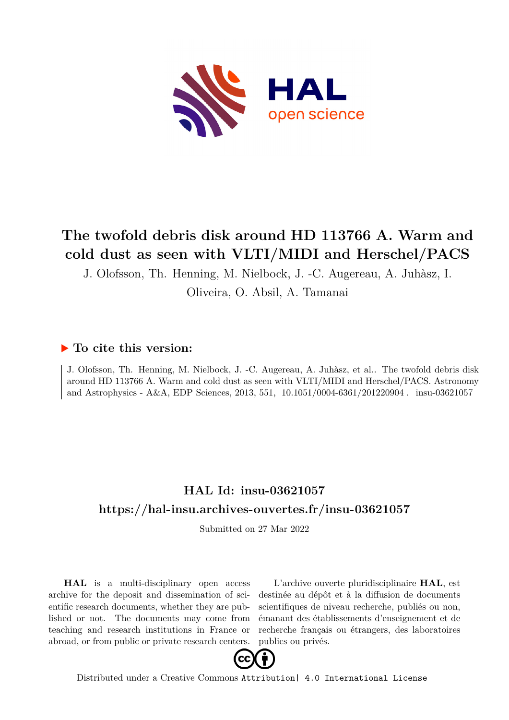

# **The twofold debris disk around HD 113766 A. Warm and cold dust as seen with VLTI/MIDI and Herschel/PACS**

J. Olofsson, Th. Henning, M. Nielbock, J. -C. Augereau, A. Juhàsz, I.

Oliveira, O. Absil, A. Tamanai

# **To cite this version:**

J. Olofsson, Th. Henning, M. Nielbock, J. -C. Augereau, A. Juhàsz, et al.. The twofold debris disk around HD 113766 A. Warm and cold dust as seen with VLTI/MIDI and Herschel/PACS. Astronomy and Astrophysics - A&A, EDP Sciences, 2013, 551, 10.1051/0004-6361/201220904. insu-03621057

# **HAL Id: insu-03621057 <https://hal-insu.archives-ouvertes.fr/insu-03621057>**

Submitted on 27 Mar 2022

**HAL** is a multi-disciplinary open access archive for the deposit and dissemination of scientific research documents, whether they are published or not. The documents may come from teaching and research institutions in France or abroad, or from public or private research centers.

L'archive ouverte pluridisciplinaire **HAL**, est destinée au dépôt et à la diffusion de documents scientifiques de niveau recherche, publiés ou non, émanant des établissements d'enseignement et de recherche français ou étrangers, des laboratoires publics ou privés.



Distributed under a Creative Commons [Attribution| 4.0 International License](http://creativecommons.org/licenses/by/4.0/)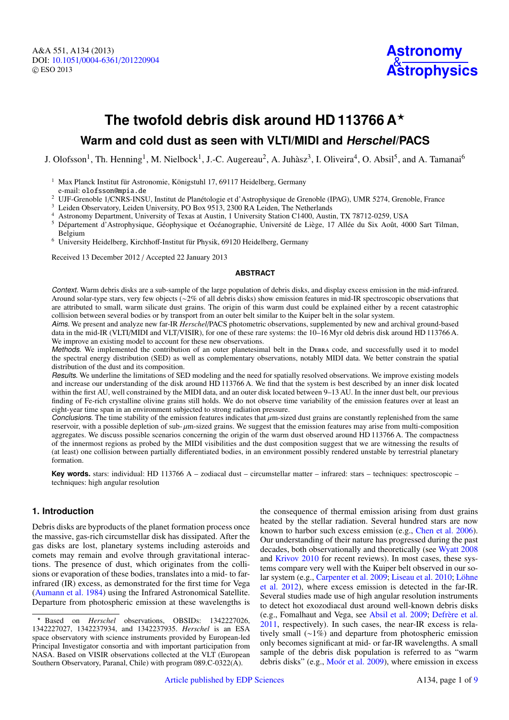A&A 551, A134 (2013) DOI: 10.1051/0004-6361/[201220904](http://dx.doi.org/10.1051/0004-6361/201220904) c ESO 2013



# **The twofold debris disk around HD 113766 A**?

# **Warm and cold dust as seen with VLTI/MIDI and Herschel/PACS**

J. Olofsson<sup>1</sup>, Th. Henning<sup>1</sup>, M. Nielbock<sup>1</sup>, J.-C. Augereau<sup>2</sup>, A. Juhàsz<sup>3</sup>, I. Oliveira<sup>4</sup>, O. Absil<sup>5</sup>, and A. Tamanai<sup>6</sup>

- <sup>1</sup> Max Planck Institut für Astronomie, Königstuhl 17, 69117 Heidelberg, Germany e-mail: olofsson@mpia.de
- <sup>2</sup> UJF-Grenoble 1/CNRS-INSU, Institut de Planétologie et d'Astrophysique de Grenoble (IPAG), UMR 5274, Grenoble, France

Leiden Observatory, Leiden University, PO Box 9513, 2300 RA Leiden, The Netherlands

- <sup>4</sup> Astronomy Department, University of Texas at Austin, 1 University Station C1400, Austin, TX 78712-0259, USA
- <sup>5</sup> Département d'Astrophysique, Géophysique et Océanographie, Université de Liège, 17 Allée du Six Août, 4000 Sart Tilman, Belgium
- <sup>6</sup> University Heidelberg, Kirchhoff-Institut für Physik, 69120 Heidelberg, Germany

Received 13 December 2012 / Accepted 22 January 2013

### **ABSTRACT**

Context. Warm debris disks are a sub-sample of the large population of debris disks, and display excess emission in the mid-infrared. Around solar-type stars, very few objects (∼2% of all debris disks) show emission features in mid-IR spectroscopic observations that are attributed to small, warm silicate dust grains. The origin of this warm dust could be explained either by a recent catastrophic collision between several bodies or by transport from an outer belt similar to the Kuiper belt in the solar system.

Aims. We present and analyze new far-IR *Herschel*/PACS photometric observations, supplemented by new and archival ground-based data in the mid-IR (VLTI/MIDI and VLT/VISIR), for one of these rare systems: the 10–16 Myr old debris disk around HD 113766 A. We improve an existing model to account for these new observations.

Methods. We implemented the contribution of an outer planetesimal belt in the DEBRA code, and successfully used it to model the spectral energy distribution (SED) as well as complementary observations, notably MIDI data. We better constrain the spatial distribution of the dust and its composition.

Results. We underline the limitations of SED modeling and the need for spatially resolved observations. We improve existing models and increase our understanding of the disk around HD 113766 A. We find that the system is best described by an inner disk located within the first AU, well constrained by the MIDI data, and an outer disk located between 9–13 AU. In the inner dust belt, our previous finding of Fe-rich crystalline olivine grains still holds. We do not observe time variability of the emission features over at least an eight-year time span in an environment subjected to strong radiation pressure.<br>Conclusions. The time stability of the emission features indicates that  $\mu$ m-sized dust grains are constantly replenished from the same

**Conclusions.** The time stability of the emission features indicates that  $\mu$ m-sized dust grains are constantly replenished from the same reservoir with a possible depletion of sub- $\mu$ m-sized grains. We suggest that the reservoir, with a possible depletion of sub-  $\mu$ m-sized grains. We suggest that the emission features may arise from multi-composition<br>aggregates. We discuss possible scenarios concerning the origin of the warm dust obse aggregates. We discuss possible scenarios concerning the origin of the warm dust observed around HD 113766 A. The compactness of the innermost regions as probed by the MIDI visibilities and the dust composition suggest that we are witnessing the results of (at least) one collision between partially differentiated bodies, in an environment possibly rendered unstable by terrestrial planetary formation.

**Key words.** stars: individual: HD 113766 A – zodiacal dust – circumstellar matter – infrared: stars – techniques: spectroscopic – techniques: high angular resolution

# **1. Introduction**

Debris disks are byproducts of the planet formation process once the massive, gas-rich circumstellar disk has dissipated. After the gas disks are lost, planetary systems including asteroids and comets may remain and evolve through gravitational interactions. The presence of dust, which originates from the collisions or evaporation of these bodies, translates into a mid- to farinfrared (IR) excess, as demonstrated for the first time for Vega (Aumann et al. 1984) using the Infrared Astronomical Satellite. Departure from photospheric emission at these wavelengths is the consequence of thermal emission arising from dust grains heated by the stellar radiation. Several hundred stars are now known to harbor such excess emission (e.g., Chen et al. 2006). Our understanding of their nature has progressed during the past decades, both observationally and theoretically (see Wyatt 2008 and Krivov 2010 for recent reviews). In most cases, these systems compare very well with the Kuiper belt observed in our solar system (e.g., Carpenter et al. 2009; Liseau et al. 2010; Löhne et al. 2012), where excess emission is detected in the far-IR. Several studies made use of high angular resolution instruments to detect hot exozodiacal dust around well-known debris disks (e.g., Fomalhaut and Vega, see Absil et al. 2009; Defrère et al. 2011, respectively). In such cases, the near-IR excess is relatively small (∼1%) and departure from photospheric emission only becomes significant at mid- or far-IR wavelengths. A small sample of the debris disk population is referred to as "warm debris disks" (e.g., Moór et al. 2009), where emission in excess

<sup>?</sup> Based on *Herschel* observations, OBSIDs: 1342227026, 1342227027, 1342237934, and 1342237935. *Herschel* is an ESA space observatory with science instruments provided by European-led Principal Investigator consortia and with important participation from NASA. Based on VISIR observations collected at the VLT (European Southern Observatory, Paranal, Chile) with program 089.C-0322(A).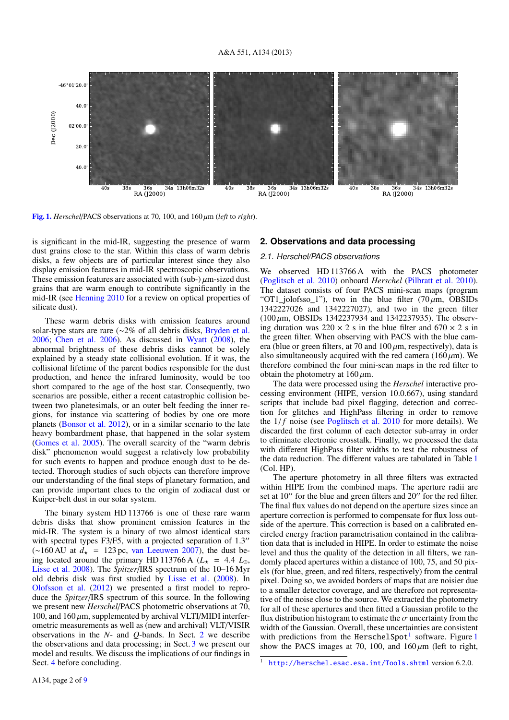

[Fig. 1.](http://dexter.edpsciences.org/applet.php?DOI=10.1051/0004-6361/201220904&pdf_id=1) *Herschel*/PACS observations at 70, 100, and 160 µm (*left* to *right*).

is significant in the mid-IR, suggesting the presence of warm dust grains close to the star. Within this class of warm debris disks, a few objects are of particular interest since they also display emission features in mid-IR spectroscopic observations. These emission features are associated with (sub-)  $\mu$ m-sized dust grains that are warm enough to contribute significantly in the mid-IR (see Henning 2010 for a review on optical properties of silicate dust).

These warm debris disks with emission features around solar-type stars are rare (∼2% of all debris disks, Bryden et al. 2006; Chen et al. 2006). As discussed in Wyatt (2008), the abnormal brightness of these debris disks cannot be solely explained by a steady state collisional evolution. If it was, the collisional lifetime of the parent bodies responsible for the dust production, and hence the infrared luminosity, would be too short compared to the age of the host star. Consequently, two scenarios are possible, either a recent catastrophic collision between two planetesimals, or an outer belt feeding the inner regions, for instance via scattering of bodies by one ore more planets (Bonsor et al. 2012), or in a similar scenario to the late heavy bombardment phase, that happened in the solar system (Gomes et al. 2005). The overall scarcity of the "warm debris disk" phenomenon would suggest a relatively low probability for such events to happen and produce enough dust to be detected. Thorough studies of such objects can therefore improve our understanding of the final steps of planetary formation, and can provide important clues to the origin of zodiacal dust or Kuiper-belt dust in our solar system.

The binary system HD 113766 is one of these rare warm debris disks that show prominent emission features in the mid-IR. The system is a binary of two almost identical stars with spectral types F3/F5, with a projected separation of  $1.3$ " (∼160 AU at *<sup>d</sup>*? <sup>=</sup> 123 pc, van Leeuwen 2007), the dust being located around the primary HD 113766 A  $(L_{\star} = 4.4 L_{\odot}$ , Lisse et al. 2008). The *Spitzer*/IRS spectrum of the 10–16 Myr old debris disk was first studied by Lisse et al. (2008). In Olofsson et al. (2012) we presented a first model to reproduce the *Spitzer*/IRS spectrum of this source. In the following we present new *Herschel*/PACS photometric observations at 70, 100, and  $160 \mu m$ , supplemented by archival VLTI/MIDI interferometric measurements as well as (new and archival) VLT/VISIR observations in the *N*- and *Q*-bands. In Sect. 2 we describe the observations and data processing; in Sect. 3 we present our model and results. We discuss the implications of our findings in Sect. 4 before concluding.

## **2. Observations and data processing**

## 2.1. Herschel/PACS observations

We observed HD 113766 A with the PACS photometer (Poglitsch et al. 2010) onboard *Herschel* (Pilbratt et al. 2010). The dataset consists of four PACS mini-scan maps (program "OT1\_jolofsso\_1"), two in the blue filter  $(70 \,\mu m, \text{OBSIDs})$ 1342227026 and 1342227027), and two in the green filter  $(100 \,\mu m, \text{OBSIDs } 1342237934 \text{ and } 1342237935)$ . The observing duration was  $220 \times 2$  s in the blue filter and  $670 \times 2$  s in the green filter. When observing with PACS with the blue camera (blue or green filters, at 70 and  $100 \mu m$ , respectively), data is also simultaneously acquired with the red camera (160  $\mu$ m). We therefore combined the four mini-scan maps in the red filter to obtain the photometry at  $160 \mu$ m.

The data were processed using the *Herschel* interactive processing environment (HIPE, version 10.0.667), using standard scripts that include bad pixel flagging, detection and correction for glitches and HighPass filtering in order to remove the  $1/f$  noise (see Poglitsch et al. 2010 for more details). We discarded the first column of each detector sub-array in order to eliminate electronic crosstalk. Finally, we processed the data with different HighPass filter widths to test the robustness of the data reduction. The different values are tabulated in Table 1 (Col. HP).

The aperture photometry in all three filters was extracted within HIPE from the combined maps. The aperture radii are set at  $10^{\prime\prime}$  for the blue and green filters and  $20^{\prime\prime}$  for the red filter. The final flux values do not depend on the aperture sizes since an aperture correction is performed to compensate for flux loss outside of the aperture. This correction is based on a calibrated encircled energy fraction parametrisation contained in the calibration data that is included in HIPE. In order to estimate the noise level and thus the quality of the detection in all filters, we randomly placed apertures within a distance of 100, 75, and 50 pixels (for blue, green, and red filters, respectively) from the central pixel. Doing so, we avoided borders of maps that are noisier due to a smaller detector coverage, and are therefore not representative of the noise close to the source. We extracted the photometry for all of these apertures and then fitted a Gaussian profile to the flux distribution histogram to estimate the  $\sigma$  uncertainty from the width of the Gaussian. Overall, these uncertainties are consistent with predictions from the HerschelSpot<sup>1</sup> software. Figure 1 show the PACS images at 70, 100, and  $160 \mu m$  (left to right,

<sup>&</sup>lt;sup>1</sup> <http://herschel.esac.esa.int/Tools.shtml> version 6.2.0.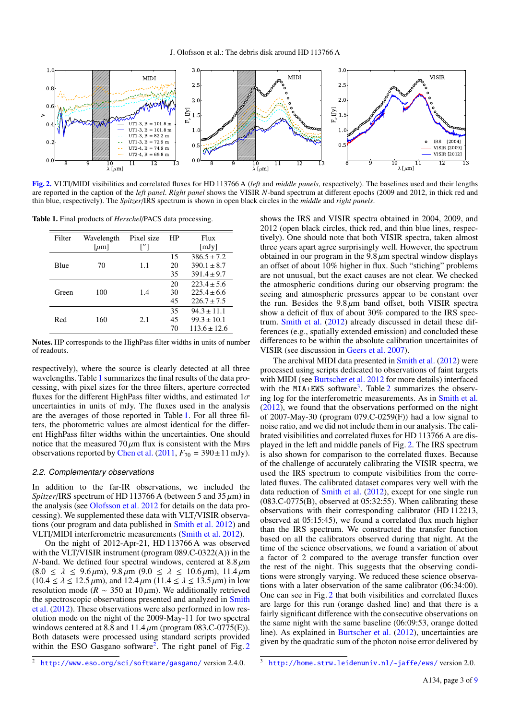

[Fig. 2.](http://dexter.edpsciences.org/applet.php?DOI=10.1051/0004-6361/201220904&pdf_id=2) VLTI/MIDI visibilities and correlated fluxes for HD 113766 A (*left* and *middle panels*, respectively). The baselines used and their lengths are reported in the caption of the *left panel*. *Right panel* shows the VISIR *N*-band spectrum at different epochs (2009 and 2012, in thick red and thin blue, respectively). The *Spitzer*/IRS spectrum is shown in open black circles in the *middle* and *right panels*.

Table 1. Final products of *Herschel*/PACS data processing.

| Filter | Wavelength | Pixel size | HP    | Flux            |  |
|--------|------------|------------|-------|-----------------|--|
|        | [ $\mu$ m] | ['']       | [mJy] |                 |  |
|        |            |            | 15    | $386.5 \pm 7.2$ |  |
| Blue   | 70         | 1.1        | 20    | $390.1 \pm 8.7$ |  |
|        |            |            | 35    | $391.4 \pm 9.7$ |  |
| Green  | 100        | 1.4        | 20    | $223.4 \pm 5.6$ |  |
|        |            |            | 30    | $225.4 \pm 6.6$ |  |
|        |            |            | 45    | $226.7 \pm 7.5$ |  |
|        |            |            | 35    | $94.3 \pm 11.1$ |  |
| Red    | 160        | 2.1        | 45    | $99.3 \pm 10.1$ |  |
|        |            |            | 70    | $113.6 + 12.6$  |  |

Notes. HP corresponds to the HighPass filter widths in units of number of readouts.

respectively), where the source is clearly detected at all three wavelengths. Table 1 summarizes the final results of the data processing, with pixel sizes for the three filters, aperture corrected fluxes for the different HighPass filter widths, and estimated  $1\sigma$ uncertainties in units of mJy. The fluxes used in the analysis are the averages of those reported in Table 1. For all three filters, the photometric values are almost identical for the different HighPass filter widths within the uncertainties. One should notice that the measured  $70 \mu m$  flux is consistent with the Mips observations reported by Chen et al.  $(2011, F_{70} = 390 \pm 11 \text{ mJy}).$ 

#### 2.2. Complementary observations

In addition to the far-IR observations, we included the *Spitzer*/IRS spectrum of HD 113766 A (between 5 and  $35 \mu m$ ) in the analysis (see Olofsson et al. 2012 for details on the data processing). We supplemented these data with VLT/VISIR observations (our program and data published in Smith et al. 2012) and VLTI/MIDI interferometric measurements (Smith et al. 2012).

On the night of 2012-Apr-21, HD 113766 A was observed with the VLT/VISIR instrument (program 089.C-0322(A)) in the *N*-band. We defined four spectral windows, centered at  $8.8 \mu m$  $(8.0 \le \lambda \le 9.6 \,\mu\text{m})$ ,  $9.8 \,\mu\text{m}$   $(9.0 \le \lambda \le 10.6 \,\mu\text{m})$ ,  $11.4 \,\mu\text{m}$  $(10.4 \le \lambda \le 12.5 \,\mu\text{m})$ , and  $12.4 \,\mu\text{m}$   $(11.4 \le \lambda \le 13.5 \,\mu\text{m})$  in low resolution mode ( $R \sim 350$  at 10  $\mu$ m). We additionally retrieved the spectroscopic observations presented and analyzed in Smith et al. (2012). These observations were also performed in low resolution mode on the night of the 2009-May-11 for two spectral windows centered at 8.8 and  $11.4 \mu m$  (program 083.C-0775(E)). Both datasets were processed using standard scripts provided within the ESO Gasgano software<sup>2</sup>. The right panel of Fig. 2

shows the IRS and VISIR spectra obtained in 2004, 2009, and 2012 (open black circles, thick red, and thin blue lines, respectively). One should note that both VISIR spectra, taken almost three years apart agree surprisingly well. However, the spectrum obtained in our program in the  $9.8 \mu m$  spectral window displays an offset of about 10% higher in flux. Such "stiching" problems are not unusual, but the exact causes are not clear. We checked the atmospheric conditions during our observing program: the seeing and atmospheric pressures appear to be constant over the run. Besides the  $9.8 \mu m$  band offset, both VISIR spectra show a deficit of flux of about 30% compared to the IRS spectrum. Smith et al. (2012) already discussed in detail these differences (e.g., spatially extended emission) and concluded these differences to be within the absolute calibration uncertainites of VISIR (see discussion in Geers et al. 2007).

The archival MIDI data presented in Smith et al. (2012) were processed using scripts dedicated to observations of faint targets with MIDI (see Burtscher et al. 2012 for more details) interfaced with the MIA+EWS software<sup>3</sup>. Table 2 summarizes the observing log for the interferometric measurements. As in Smith et al. (2012), we found that the observations performed on the night of 2007-May-30 (program 079.C-0259(F)) had a low signal to noise ratio, and we did not include them in our analysis. The calibrated visibilities and correlated fluxes for HD 113766 A are displayed in the left and middle panels of Fig. 2. The IRS spectrum is also shown for comparison to the correlated fluxes. Because of the challenge of accurately calibrating the VISIR spectra, we used the IRS spectrum to compute visibilities from the correlated fluxes. The calibrated dataset compares very well with the data reduction of Smith et al. (2012), except for one single run  $(083.C-0775(B))$ , observed at 05:32:55). When calibrating these observations with their corresponding calibrator (HD 112213, observed at 05:15:45), we found a correlated flux much higher than the IRS spectrum. We constructed the transfer function based on all the calibrators observed during that night. At the time of the science observations, we found a variation of about a factor of 2 compared to the average transfer function over the rest of the night. This suggests that the observing conditions were strongly varying. We reduced these science observations with a later observation of the same calibrator (06:34:00). One can see in Fig. 2 that both visibilities and correlated fluxes are large for this run (orange dashed line) and that there is a fairly significant difference with the consecutive observations on the same night with the same baseline (06:09:53, orange dotted line). As explained in Burtscher et al. (2012), uncertainties are given by the quadratic sum of the photon noise error delivered by

<sup>2</sup> <http://www.eso.org/sci/software/gasgano/> version 2.4.0.

<sup>3</sup> <http://home.strw.leidenuniv.nl/~jaffe/ews/> version 2.0.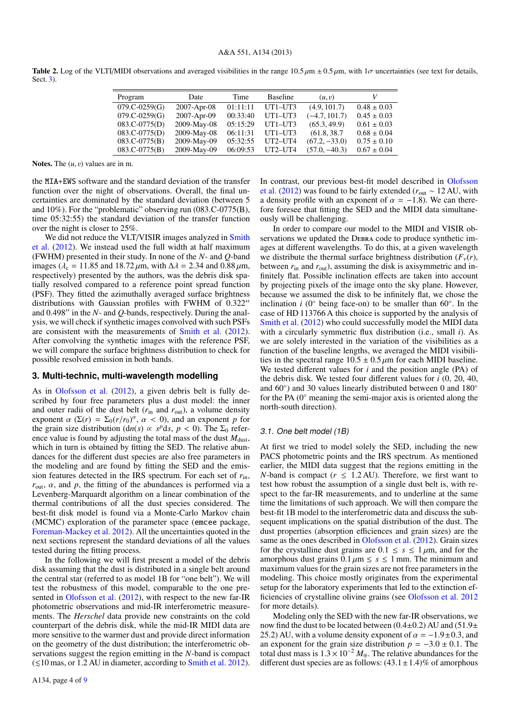| Program         | Date        | Time     | <b>Baseline</b> | (u, v)          |                 |
|-----------------|-------------|----------|-----------------|-----------------|-----------------|
| $079.C-0259(G)$ | 2007-Apr-08 | 01:11:11 | $UT1-UT3$       | (4.9, 101.7)    | $0.48 \pm 0.03$ |
| $079.C-0259(G)$ | 2007-Apr-09 | 00:33:40 | $UT1-UT3$       | $(-4.7, 101.7)$ | $0.45 \pm 0.03$ |
| $083.C-0775(D)$ | 2009-May-08 | 05:15:29 | $UT1-UT3$       | (65.3, 49.9)    | $0.61 \pm 0.03$ |
| $083.C-0775(D)$ | 2009-May-08 | 06:11:31 | $UT1-UT3$       | (61.8, 38.7)    | $0.68 \pm 0.04$ |
| $083.C-0775(B)$ | 2009-May-09 | 05:32:55 | $UT2-UT4$       | $(67.2, -33.0)$ | $0.75 \pm 0.10$ |
| $083.C-0775(B)$ | 2009-May-09 | 06:09:53 | UT2-UT4         | $(57.0, -40.3)$ | $0.67 \pm 0.04$ |
|                 |             |          |                 |                 |                 |

Table 2. Log of the VLTI/MIDI observations and averaged visibilities in the range  $10.5 \mu m \pm 0.5 \mu m$ , with  $1\sigma$  uncertainties (see text for details, Sect. 3).

Notes. The  $(u, v)$  values are in m.

the MIA+EWS software and the standard deviation of the transfer function over the night of observations. Overall, the final uncertainties are dominated by the standard deviation (between 5 and 10%). For the "problematic" observing run (083.C-0775(B), time 05:32:55) the standard deviation of the transfer function over the night is closer to 25%.

We did not reduce the VLT/VISIR images analyzed in Smith et al. (2012). We instead used the full width at half maximum (FWHM) presented in their study. In none of the *N*- and *Q*-band images ( $\lambda_c = 11.85$  and 18.72  $\mu$ m, with  $\Delta \lambda = 2.34$  and 0.88  $\mu$ m, respectively) presented by the authors, was the debris disk spatially resolved compared to a reference point spread function (PSF). They fitted the azimuthally averaged surface brightness distributions with Gaussian profiles with FWHM of  $0.322$ " and  $0.498''$  in the *N*- and *Q*-bands, respectively. During the analysis, we will check if synthetic images convolved with such PSFs are consistent with the measurements of Smith et al. (2012). After convolving the synthetic images with the reference PSF, we will compare the surface brightness distribution to check for possible resolved emission in both bands.

#### **3. Multi-technic, multi-wavelength modelling**

As in Olofsson et al. (2012), a given debris belt is fully described by four free parameters plus a dust model: the inner and outer radii of the dust belt  $(r_{\text{in}}$  and  $r_{\text{out}})$ , a volume density exponent  $\alpha$  ( $\Sigma(r) = \Sigma_0(r/r_0)^{\alpha}$ ,  $\alpha < 0$ ), and an exponent *p* for the grain size distribution ( $d\eta(s) \propto s^{\beta} ds$ ,  $n < 0$ ). The  $\Sigma_0$  referthe grain size distribution (dn(*s*)  $\propto s^p ds$ ,  $p < 0$ ). The  $\Sigma_0$  refer-<br>ence value is found by adjusting the total mass of the dust  $M_{\text{max}}$ ence value is found by adjusting the total mass of the dust  $M<sub>dist</sub>$ , which in turn is obtained by fitting the SED. The relative abundances for the different dust species are also free parameters in the modeling and are found by fitting the SED and the emission features detected in the IRS spectrum. For each set of *r*in,  $r_{\text{out}}$ ,  $\alpha$ , and  $p$ , the fitting of the abundances is performed via a Levenberg-Marquardt algorithm on a linear combination of the thermal contributions of all the dust species considered. The best-fit disk model is found via a Monte-Carlo Markov chain (MCMC) exploration of the parameter space (emcee package, Foreman-Mackey et al. 2012). All the uncertainties quoted in the next sections represent the standard deviations of all the values tested during the fitting process.

In the following we will first present a model of the debris disk assuming that the dust is distributed in a single belt around the central star (referred to as model 1B for "one belt"). We will test the robustness of this model, comparable to the one presented in Olofsson et al. (2012), with respect to the new far-IR photometric observations and mid-IR interferometric measurements. The *Herschel* data provide new constraints on the cold counterpart of the debris disk, while the mid-IR MIDI data are more sensitive to the warmer dust and provide direct information on the geometry of the dust distribution; the interferometric observations suggest the region emitting in the *N*-band is compact  $\leq$  10 mas, or 1.2 AU in diameter, according to Smith et al. 2012).

In contrast, our previous best-fit model described in Olofsson et al. (2012) was found to be fairly extended (*r*out ∼ 12 AU, with a density profile with an exponent of  $\alpha = -1.8$ ). We can therefore foresee that fitting the SED and the MIDI data simultaneously will be challenging.

In order to compare our model to the MIDI and VISIR observations we updated the DEBRA code to produce synthetic images at different wavelengths. To do this, at a given wavelength we distribute the thermal surface brightness distribution  $(F_v(r))$ , between  $r_{\text{in}}$  and  $r_{\text{out}}$ ), assuming the disk is axisymmetric and infinitely flat. Possible inclination effects are taken into account by projecting pixels of the image onto the sky plane. However, because we assumed the disk to be infinitely flat, we chose the inclination *i* (0 $\degree$  being face-on) to be smaller than 60 $\degree$ . In the case of HD 113766 A this choice is supported by the analysis of Smith et al. (2012) who could successfully model the MIDI data with a circularly symmetric flux distribution (i.e., small *i*). As we are solely interested in the variation of the visibilities as a function of the baseline lengths, we averaged the MIDI visibilities in the spectral range  $10.5 \pm 0.5 \,\mu \text{m}$  for each MIDI baseline. We tested different values for *i* and the position angle (PA) of the debris disk. We tested four different values for *i* (0, 20, 40, and 60°) and 30 values linearly distributed between 0 and 180° for the PA (0◦ meaning the semi-major axis is oriented along the north-south direction).

#### 3.1. One belt model (1B)

At first we tried to model solely the SED, including the new PACS photometric points and the IRS spectrum. As mentioned earlier, the MIDI data suggest that the regions emitting in the *N*-band is compact ( $r \leq 1.2$  AU). Therefore, we first want to test how robust the assumption of a single dust belt is, with respect to the far-IR measurements, and to underline at the same time the limitations of such approach. We will then compare the best-fit 1B model to the interferometric data and discuss the subsequent implications on the spatial distribution of the dust. The dust properties (absorption efficiences and grain sizes) are the same as the ones described in Olofsson et al. (2012). Grain sizes for the crystalline dust grains are  $0.1 \leq s \leq 1 \,\mu\text{m}$ , and for the amorphous dust grains  $0.1 \mu m \leq s \leq 1$  mm. The minimum and maximum values for the grain sizes are not free parameters in the modeling. This choice mostly originates from the experimental setup for the laboratory experiments that led to the extinction efficiencies of crystalline olivine grains (see Olofsson et al. 2012 for more details).

Modeling only the SED with the new far-IR observations, we now find the dust to be located between  $(0.4\pm0.2)$  AU and  $(51.9\pm$ 25.2) AU, with a volume density exponent of  $\alpha = -1.9 \pm 0.3$ , and an exponent for the grain size distribution  $p = -3.0 \pm 0.1$ . The total dust mass is  $1.3 \times 10^{-2} M_{\oplus}$ . The relative abundances for the different dust species are as follows:  $(43.1 \pm 1.4)$ % of amorphous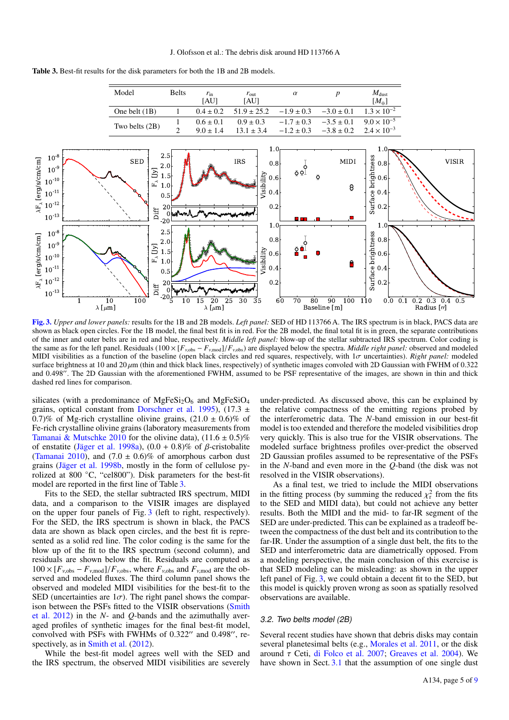

Table 3. Best-fit results for the disk parameters for both the 1B and 2B models.

[Fig. 3.](http://dexter.edpsciences.org/applet.php?DOI=10.1051/0004-6361/201220904&pdf_id=3) *Upper and lower panels:* results for the 1B and 2B models. *Left panel:* SED of HD 113766 A. The IRS spectrum is in black, PACS data are shown as black open circles. For the 1B model, the final best fit is in red. For the 2B model, the final total fit is in green, the separate contributions of the inner and outer belts are in red and blue, respectively. *Middle left panel:* blow-up of the stellar subtracted IRS spectrum. Color coding is the same as for the left panel. Residuals ( $100 \times [F_{\nu,obs} - F_{\nu,mod}] / F_{\nu,obs}$ ) are displayed below the spectra. *Middle right panel:* observed and modeled MIDI visibilities as a function of the baseline (open black circles and red squares, respectively, with 1σ uncertainties). *Right panel:* modeled surface brightness at 10 and 20  $\mu$ m (thin and thick black lines, respectively) of synthetic images convoled with 2D Gaussian with FWHM of 0.322 and 0.498". The 2D Gaussian with the aforementioned FWHM, assumed to be PSF representative of the images, are shown in thin and thick dashed red lines for comparison.

silicates (with a predominance of  $MgFeSi<sub>2</sub>O<sub>6</sub>$  and  $MgFeSiO<sub>4</sub>$ grains, optical constant from Dorschner et al. 1995),  $(17.3 \pm 12.5)$ 0.7)% of Mg-rich crystalline olivine grains,  $(21.0 \pm 0.6)$ % of Fe-rich crystalline olivine grains (laboratory measurements from Tamanai & Mutschke 2010 for the olivine data),  $(11.6 \pm 0.5)\%$ of enstatite (Jäger et al. 1998a),  $(0.0 + 0.8)$ % of  $\beta$ -cristobalite (Tamanai 2010), and  $(7.0 \pm 0.6)\%$  of amorphous carbon dust grains (Jäger et al. 1998b, mostly in the form of cellulose pyrolized at 800  $\degree$ C, "cel800"). Disk parameters for the best-fit model are reported in the first line of Table 3.

Fits to the SED, the stellar subtracted IRS spectrum, MIDI data, and a comparison to the VISIR images are displayed on the upper four panels of Fig. 3 (left to right, respectively). For the SED, the IRS spectrum is shown in black, the PACS data are shown as black open circles, and the best fit is represented as a solid red line. The color coding is the same for the blow up of the fit to the IRS spectrum (second column), and residuals are shown below the fit. Residuals are computed as  $100 \times [F_{\nu,obs} - F_{\nu,mod}]/F_{\nu,obs}$ , where  $F_{\nu,obs}$  and  $F_{\nu,mod}$  are the observed and modeled fluxes. The third column panel shows the observed and modeled MIDI visibilities for the best-fit to the SED (uncertainties are  $1\sigma$ ). The right panel shows the comparison between the PSFs fitted to the VISIR observations (Smith et al. 2012) in the *N*- and *Q*-bands and the azimuthally averaged profiles of synthetic images for the final best-fit model, convolved with PSFs with FWHMs of  $0.322''$  and  $0.498''$ , respectively, as in Smith et al. (2012).

While the best-fit model agrees well with the SED and the IRS spectrum, the observed MIDI visibilities are severely under-predicted. As discussed above, this can be explained by the relative compactness of the emitting regions probed by the interferometric data. The *N*-band emission in our best-fit model is too extended and therefore the modeled visibilities drop very quickly. This is also true for the VISIR observations. The modeled surface brightness profiles over-predict the observed 2D Gaussian profiles assumed to be representative of the PSFs in the *N*-band and even more in the *Q*-band (the disk was not resolved in the VISIR observations).

As a final test, we tried to include the MIDI observations in the fitting process (by summing the reduced  $\chi^2$  from the fits<br>to the SED and MIDI data) but could not achieve any better to the SED and MIDI data), but could not achieve any better results. Both the MIDI and the mid- to far-IR segment of the SED are under-predicted. This can be explained as a tradeoff between the compactness of the dust belt and its contribution to the far-IR. Under the assumption of a single dust belt, the fits to the SED and interferometric data are diametrically opposed. From a modeling perspective, the main conclusion of this exercise is that SED modeling can be misleading: as shown in the upper left panel of Fig. 3, we could obtain a decent fit to the SED, but this model is quickly proven wrong as soon as spatially resolved observations are available.

# 3.2. Two belts model (2B)

Several recent studies have shown that debris disks may contain several planetesimal belts (e.g., Morales et al. 2011, or the disk around  $\tau$  Ceti, di Folco et al. 2007; Greaves et al. 2004). We have shown in Sect. 3.1 that the assumption of one single dust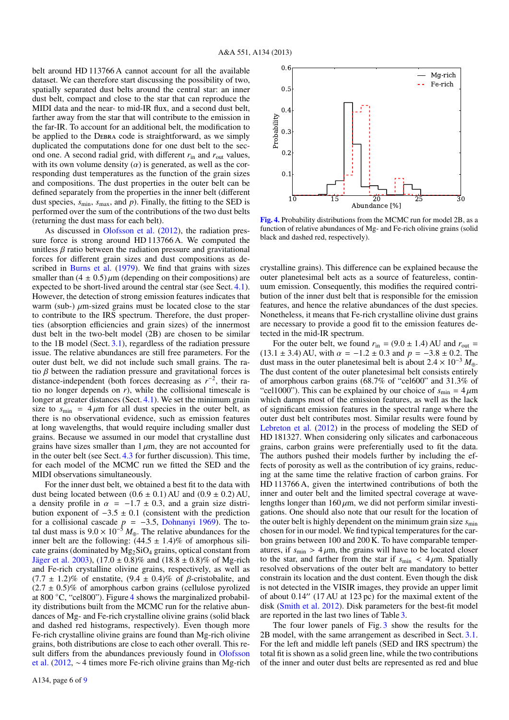belt around HD 113766 A cannot account for all the available dataset. We can therefore start discussing the possibility of two, spatially separated dust belts around the central star: an inner dust belt, compact and close to the star that can reproduce the MIDI data and the near- to mid-IR flux, and a second dust belt, farther away from the star that will contribute to the emission in the far-IR. To account for an additional belt, the modification to be applied to the DEBRA code is straightforward, as we simply duplicated the computations done for one dust belt to the second one. A second radial grid, with different  $r_{\text{in}}$  and  $r_{\text{out}}$  values, with its own volume density  $(\alpha)$  is generated, as well as the corresponding dust temperatures as the function of the grain sizes and compositions. The dust properties in the outer belt can be defined separately from the properties in the inner belt (different dust species,  $s_{\text{min}}$ ,  $s_{\text{max}}$ , and *p*). Finally, the fitting to the SED is performed over the sum of the contributions of the two dust belts (returning the dust mass for each belt).

As discussed in Olofsson et al. (2012), the radiation pressure force is strong around HD 113766 A. We computed the unitless  $\beta$  ratio between the radiation pressure and gravitational forces for different grain sizes and dust compositions as described in Burns et al. (1979). We find that grains with sizes smaller than  $(4 \pm 0.5) \mu$ m (depending on their compositions) are expected to be short-lived around the central star (see Sect. 4.1). However, the detection of strong emission features indicates that warm (sub-)  $\mu$ m-sized grains must be located close to the star to contribute to the IRS spectrum. Therefore, the dust properties (absorption efficiencies and grain sizes) of the innermost dust belt in the two-belt model (2B) are chosen to be similar to the 1B model (Sect. 3.1), regardless of the radiation pressure issue. The relative abundances are still free parameters. For the outer dust belt, we did not include such small grains. The ratio  $\beta$  between the radiation pressure and gravitational forces is distance-independent (both forces decreasing as  $r^{-2}$ , their ratio no longer depends on *r*), while the collisional timescale is longer at greater distances (Sect. 4.1). We set the minimum grain size to  $s_{\text{min}} = 4 \mu \text{m}$  for all dust species in the outer belt, as there is no observational evidence, such as emission features at long wavelengths, that would require including smaller dust grains. Because we assumed in our model that crystalline dust grains have sizes smaller than  $1 \mu m$ , they are not accounted for in the outer belt (see Sect. 4.3 for further discussion). This time, for each model of the MCMC run we fitted the SED and the MIDI observations simultaneously.

For the inner dust belt, we obtained a best fit to the data with dust being located between  $(0.6 \pm 0.1)$  AU and  $(0.9 \pm 0.2)$  AU, a density profile in  $\alpha = -1.7 \pm 0.3$ , and a grain size distribution exponent of  $-3.5 \pm 0.1$  (consistent with the prediction bution exponent of  $-3.5 \pm 0.1$  (consistent with the prediction for a collisional cascade  $n = -3.5$  Dohnanyi 1969). The tofor a collisional cascade  $p = -3.5$ , Dohnanyi 1969). The to-<br>tal dust mass is  $9.0 \times 10^{-5} M_{\odot}$ . The relative abundances for the tal dust mass is  $9.0 \times 10^{-5} M_{\oplus}$ . The relative abundances for the inner belt are the following:  $(44.5 + 1.4)\%$  of amorphous siliinner belt are the following:  $(44.5 \pm 1.4)\%$  of amorphous silicate grains (dominated by  $Mg_2SiO_4$  grains, optical constant from Jäger et al. 2003),  $(17.0 \pm 0.8)\%$  and  $(18.8 \pm 0.8)\%$  of Mg-rich and Fe-rich crystalline olivine grains, respectively, as well as  $(7.7 \pm 1.2)\%$  of enstatite,  $(9.4 \pm 0.4)\%$  of  $\beta$ -cristobalite, and  $(2.7 \pm 0.5)\%$  of amorphous carbon grains (cellulose pyrolized at 800 ◦C, "cel800"). Figure 4 shows the marginalized probability distributions built from the MCMC run for the relative abundances of Mg- and Fe-rich crystalline olivine grains (solid black and dashed red histograms, respectively). Even though more Fe-rich crystalline olivine grains are found than Mg-rich olivine grains, both distributions are close to each other overall. This result differs from the abundances previously found in Olofsson et al. (2012, ∼ 4 times more Fe-rich olivine grains than Mg-rich



[Fig. 4.](http://dexter.edpsciences.org/applet.php?DOI=10.1051/0004-6361/201220904&pdf_id=4) Probability distributions from the MCMC run for model 2B, as a function of relative abundances of Mg- and Fe-rich olivine grains (solid black and dashed red, respectively).

crystalline grains). This difference can be explained because the outer planetesimal belt acts as a source of featureless, continuum emission. Consequently, this modifies the required contribution of the inner dust belt that is responsible for the emission features, and hence the relative abundances of the dust species. Nonetheless, it means that Fe-rich crystalline olivine dust grains are necessary to provide a good fit to the emission features detected in the mid-IR spectrum.

For the outer belt, we found  $r_{\text{in}} = (9.0 \pm 1.4)$  AU and  $r_{\text{out}} =$  $(13.1 \pm 3.4)$  AU, with  $\alpha = -1.2 \pm 0.3$  and  $p = -3.8 \pm 0.2$ . The dust mass in the outer planetesimal belt is about  $2.4 \times 10^{-3} M_{\oplus}$ . The dust content of the outer planetesimal belt consists entirely of amorphous carbon grains (68.7% of "cel600" and 31.3% of "cel1000"). This can be explained by our choice of  $s_{\min} = 4 \,\mu m$ which damps most of the emission features, as well as the lack of significant emission features in the spectral range where the outer dust belt contributes most. Similar results were found by Lebreton et al. (2012) in the process of modeling the SED of HD 181327. When considering only silicates and carbonaceous grains, carbon grains were preferentially used to fit the data. The authors pushed their models further by including the effects of porosity as well as the contribution of icy grains, reducing at the same time the relative fraction of carbon grains. For HD 113766 A, given the intertwined contributions of both the inner and outer belt and the limited spectral coverage at wavelengths longer than  $160 \mu m$ , we did not perform similar investigations. One should also note that our result for the location of the outer belt is highly dependent on the minimum grain size  $s_{\text{min}}$ chosen for in our model. We find typical temperatures for the carbon grains between 100 and 200 K. To have comparable temperatures, if  $s_{\text{min}} > 4 \mu \text{m}$ , the grains will have to be located closer to the star, and farther from the star if  $s_{\text{min}} < 4 \mu \text{m}$ . Spatially resolved observations of the outer belt are mandatory to better constrain its location and the dust content. Even though the disk is not detected in the VISIR images, they provide an upper limit of about  $0.14''$  (17 AU at 123 pc) for the maximal extent of the disk (Smith et al. 2012). Disk parameters for the best-fit model are reported in the last two lines of Table 3.

The four lower panels of Fig. 3 show the results for the 2B model, with the same arrangement as described in Sect. 3.1. For the left and middle left panels (SED and IRS spectrum) the total fit is shown as a solid green line, while the two contributions of the inner and outer dust belts are represented as red and blue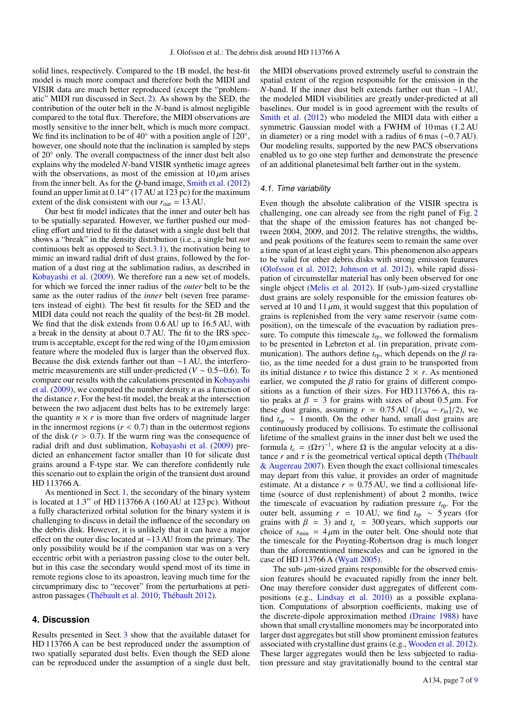solid lines, respectively. Compared to the 1B model, the best-fit model is much more compact and therefore both the MIDI and VISIR data are much better reproduced (except the "problematic" MIDI run discussed in Sect. 2). As shown by the SED, the contribution of the outer belt in the *N*-band is almost negligible compared to the total flux. Therefore, the MIDI observations are mostly sensitive to the inner belt, which is much more compact. We find its inclination to be of  $40^\circ$  with a position angle of  $120^\circ$ , however, one should note that the inclination is sampled by steps of 20◦ only. The overall compactness of the inner dust belt also explains why the modeled *N*-band VISIR synthetic image agrees with the observations, as most of the emission at  $10 \mu m$  arises from the inner belt. As for the *Q*-band image, Smith et al. (2012) found an upper limit at  $0.14''$  (17 AU at 123 pc) for the maximum extent of the disk consistent with our  $r_{\text{out}} = 13 \text{ AU}$ .

Our best fit model indicates that the inner and outer belt has to be spatially separated. However, we further pushed our modeling effort and tried to fit the dataset with a single dust belt that shows a "break" in the density distribution (i.e., a single but *not* continuous belt as opposed to Sect.3.1), the motivation being to mimic an inward radial drift of dust grains, followed by the formation of a dust ring at the sublimation radius, as described in Kobayashi et al. (2009). We therefore ran a new set of models, for which we forced the inner radius of the *outer* belt to be the same as the outer radius of the *inner* belt (seven free parameters instead of eight). The best fit results for the SED and the MIDI data could not reach the quality of the best-fit 2B model. We find that the disk extends from  $0.6$  AU up to  $16.5$  AU, with a break in the density at about 0.7 AU. The fit to the IRS spectrum is acceptable, except for the red wing of the  $10 \mu m$  emission feature where the modeled flux is larger than the observed flux. Because the disk extends farther out than ∼1 AU, the interferometric measurements are still under-predicted (*<sup>V</sup>* <sup>∼</sup> <sup>0</sup>.5−0.6). To compare our results with the calculations presented in Kobayashi et al. (2009), we computed the number density *n* as a function of the distance *r*. For the best-fit model, the break at the intersection between the two adjacent dust belts has to be extremely large: the quantity  $n \times r$  is more than five orders of magnitude larger in the innermost regions  $(r < 0.7)$  than in the outermost regions of the disk  $(r > 0.7)$ . If the warm ring was the consequence of radial drift and dust sublimation, Kobayashi et al. (2009) predicted an enhancement factor smaller than 10 for silicate dust grains around a F-type star. We can therefore confidently rule this scenario out to explain the origin of the transient dust around HD 113766 A.

As mentioned in Sect. 1, the secondary of the binary system is located at  $1.3''$  of HD 113766 A (160 AU at 123 pc). Without a fully characterized orbital solution for the binary system it is challenging to discuss in detail the influence of the secondary on the debris disk. However, it is unlikely that it can have a major effect on the outer disc located at ∼13 AU from the primary. The only possibility would be if the companion star was on a very eccentric orbit with a periastron passing close to the outer belt, but in this case the secondary would spend most of its time in remote regions close to its apoastron, leaving much time for the circumprimary disc to "recover" from the perturbations at periastron passages (Thébault et al. 2010; Thébault 2012).

## **4. Discussion**

Results presented in Sect. 3 show that the available dataset for HD 113766 A can be best reproduced under the assumption of two spatially separated dust belts. Even though the SED alone can be reproduced under the assumption of a single dust belt,

the MIDI observations proved extremely useful to constrain the spatial extent of the region responsible for the emission in the *N*-band. If the inner dust belt extends farther out than ∼1 AU, the modeled MIDI visibilities are greatly under-predicted at all baselines. Our model is in good agreement with the results of Smith et al. (2012) who modeled the MIDI data with either a symmetric Gaussian model with a FWHM of 10 mas (1.2 AU in diameter) or a ring model with a radius of 6 mas (∼0.7 AU). Our modeling results, supported by the new PACS observations enabled us to go one step further and demonstrate the presence of an additional planetesimal belt farther out in the system.

## 4.1. Time variability

Even though the absolute calibration of the VISIR spectra is challenging, one can already see from the right panel of Fig. 2 that the shape of the emission features has not changed between 2004, 2009, and 2012. The relative strengths, the widths, and peak positions of the features seem to remain the same over a time span of at least eight years. This phenomenon also appears to be valid for other debris disks with strong emission features (Olofsson et al. 2012; Johnson et al. 2012), while rapid dissipation of circumstellar material has only been observed for one single object (Melis et al. 2012). If (sub-) $\mu$ m-sized crystalline dust grains are solely responsible for the emission features observed at 10 and 11  $\mu$ m, it would suggest that this population of grains is replenished from the very same reservoir (same composition), on the timescale of the evacuation by radiation pressure. To compute this timescale  $t_{\text{ro}}$ , we followed the formalism to be presented in Lebreton et al. (in preparation, private communication). The authors define  $t_{\text{rp}}$ , which depends on the  $\beta$  ratio, as the time needed for a dust grain to be transported from its initial distance  $r$  to twice this distance  $2 \times r$ . As mentioned earlier, we computed the  $\beta$  ratio for grains of different compositions as a function of their sizes. For HD 113766 A, this ratio peaks at  $\beta = 3$  for grains with sizes of about 0.5  $\mu$ m. For these dust grains, assuming  $r = 0.75 \text{ AU } ( [r_{\text{out}} - r_{\text{in}}] / 2 )$ , we find *t*rp ∼ 1 month. On the other hand, small dust grains are continuously produced by collisions. To estimate the collisional lifetime of the smallest grains in the inner dust belt we used the formula  $t_c = (\Omega \tau)^{-1}$ , where  $\Omega$  is the angular velocity at a distance *r* and *r* is the geometrical vertical optical depth (Thébault tance  $r$  and  $\tau$  is the geometrical vertical optical depth (Thébault & Augereau 2007). Even though the exact collisional timescales may depart from this value, it provides an order of magnitude estimate. At a distance  $r = 0.75$  AU, we find a collisional lifetime (source of dust replenishment) of about 2 months, twice the timescale of evacuation by radiation pressure *t*rp. For the outer belt, assuming *r* = 10 AU, we find *t*rp ∼ 5 years (for grains with  $\beta = 3$ ) and  $t_c = 300$  years, which supports our choice of  $s_{\text{min}} = 4 \mu m$  in the outer belt. One should note that the timescale for the Poynting-Robertson drag is much longer than the aforementioned timescales and can be ignored in the case of HD 113766 A (Wyatt 2005).

The sub- $\mu$ m-sized grains responsible for the observed emission features should be evacuated rapidly from the inner belt. One may therefore consider dust aggregates of different compositions (e.g., Lindsay et al. 2010) as a possible explanation. Computations of absorption coefficients, making use of the discrete-dipole approximation method (Draine 1988) have shown that small crystalline monomers may be incorporated into larger dust aggregates but still show prominent emission features associated with crystalline dust grains (e.g., Wooden et al. 2012). These larger aggregates would then be less subjected to radiation pressure and stay gravitationally bound to the central star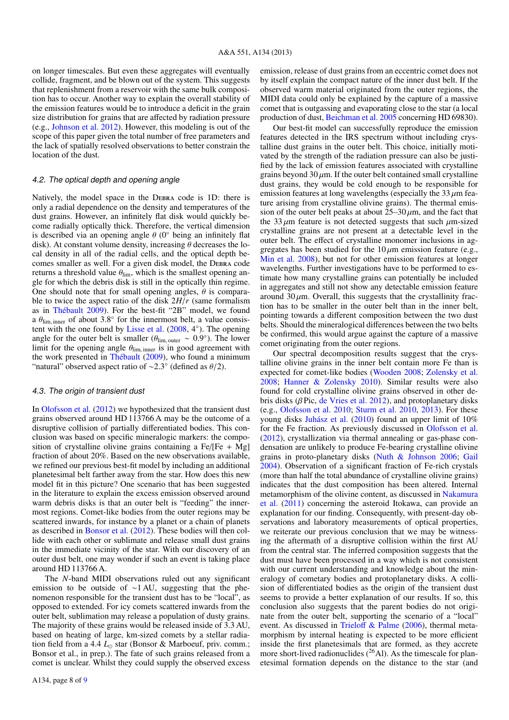on longer timescales. But even these aggregates will eventually collide, fragment, and be blown out of the system. This suggests that replenishment from a reservoir with the same bulk composition has to occur. Another way to explain the overall stability of the emission features would be to introduce a deficit in the grain size distribution for grains that are affected by radiation pressure (e.g., Johnson et al. 2012). However, this modeling is out of the scope of this paper given the total number of free parameters and the lack of spatially resolved observations to better constrain the location of the dust.

# 4.2. The optical depth and opening angle

Natively, the model space in the DEBRA code is 1D: there is only a radial dependence on the density and temperatures of the dust grains. However, an infinitely flat disk would quickly become radially optically thick. Therefore, the vertical dimension is described via an opening angle  $\theta$  (0 $\degree$  being an infinitely flat disk). At constant volume density, increasing  $\theta$  decreases the local density in all of the radial cells, and the optical depth becomes smaller as well. For a given disk model, the DEBRA code returns a threshold value  $\theta_{\text{lim}}$ , which is the smallest opening angle for which the debris disk is still in the optically thin regime. One should note that for small opening angles,  $\theta$  is comparable to twice the aspect ratio of the disk 2*H*/*<sup>r</sup>* (same formalism as in Thébault 2009). For the best-fit "2B" model, we found a  $\theta_{\text{lim, inner}}$  of about 3.8 $^{\circ}$  for the innermost belt, a value consistent with the one found by Lisse et al. (2008–4 $^{\circ}$ ). The opening tent with the one found by Lisse et al. (2008, 4◦ ). The opening angle for the outer belt is smaller ( $\theta_{\text{lim, outer}} \sim 0.9^{\circ}$ ). The lower<br>limit for the opening angle  $\theta_{\text{lim, inner}}$  is in good agreement with limit for the opening angle  $\theta_{\text{lim, inner}}$  is in good agreement with the work presented in Thébault (2009), who found a minimum "natural" observed aspect ratio of ~2.3° (defined as  $\theta/2$ ).

## 4.3. The origin of transient dust

In Olofsson et al. (2012) we hypothesized that the transient dust grains observed around HD 113766 A may be the outcome of a disruptive collision of partially differentiated bodies. This conclusion was based on specific mineralogic markers: the composition of crystalline olivine grains containing a  $Fe/[Fe + Mg]$ fraction of about 20%. Based on the new observations available, we refined our previous best-fit model by including an additional planetesimal belt farther away from the star. How does this new model fit in this picture? One scenario that has been suggested in the literature to explain the excess emission observed around warm debris disks is that an outer belt is "feeding" the innermost regions. Comet-like bodies from the outer regions may be scattered inwards, for instance by a planet or a chain of planets as described in Bonsor et al. (2012). These bodies will then collide with each other or sublimate and release small dust grains in the immediate vicinity of the star. With our discovery of an outer dust belt, one may wonder if such an event is taking place around HD 113766 A.

The *N*-band MIDI observations ruled out any significant emission to be outside of ∼1 AU, suggesting that the phenomenon responsible for the transient dust has to be "local", as opposed to extended. For icy comets scattered inwards from the outer belt, sublimation may release a population of dusty grains. The majority of these grains would be released inside of 3.3 AU, based on heating of large, km-sized comets by a stellar radiation field from a 4.4  $L_{\odot}$  star (Bonsor & Marboeuf, priv. comm.; Bonsor et al., in prep.). The fate of such grains released from a comet is unclear. Whilst they could supply the observed excess

emission, release of dust grains from an eccentric comet does not by itself explain the compact nature of the inner dust belt. If the observed warm material originated from the outer regions, the MIDI data could only be explained by the capture of a massive comet that is outgassing and evaporating close to the star (a local production of dust, Beichman et al. 2005 concerning HD 69830).

Our best-fit model can successfully reproduce the emission features detected in the IRS spectrum without including crystalline dust grains in the outer belt. This choice, initially motivated by the strength of the radiation pressure can also be justified by the lack of emission features associated with crystalline grains beyond  $30 \mu m$ . If the outer belt contained small crystalline dust grains, they would be cold enough to be responsible for emission features at long wavelengths (especially the  $33 \mu m$  feature arising from crystalline olivine grains). The thermal emission of the outer belt peaks at about  $25-30 \mu m$ , and the fact that the 33  $\mu$ m feature is not detected suggests that such  $\mu$ m-sized crystalline grains are not present at a detectable level in the outer belt. The effect of crystalline monomer inclusions in aggregates has been studied for the  $10 \mu m$  emission feature (e.g., Min et al. 2008), but not for other emission features at longer wavelengths. Further investigations have to be performed to estimate how many crystalline grains can potentially be included in aggregates and still not show any detectable emission feature around  $30 \mu$ m. Overall, this suggests that the crystallinity fraction has to be smaller in the outer belt than in the inner belt, pointing towards a different composition between the two dust belts. Should the mineralogical differences between the two belts be confirmed, this would argue against the capture of a massive comet originating from the outer regions.

Our spectral decomposition results suggest that the crystalline olivine grains in the inner belt contain more Fe than is expected for comet-like bodies (Wooden 2008; Zolensky et al. 2008; Hanner & Zolensky 2010). Similar results were also found for cold crystalline olivine grains observed in other debris disks ( $\beta$  Pic, de Vries et al. 2012), and protoplanetary disks (e.g., Olofsson et al. 2010; Sturm et al. 2010, 2013). For these young disks Juhász et al. (2010) found an upper limit of 10% for the Fe fraction. As previously discussed in Olofsson et al. (2012), crystallization via thermal annealing or gas-phase condensation are unlikely to produce Fe-bearing crystalline olivine grains in proto-planetary disks (Nuth & Johnson 2006; Gail 2004). Observation of a significant fraction of Fe-rich crystals (more than half the total abundance of crystalline olivine grains) indicates that the dust composition has been altered. Internal metamorphism of the olivine content, as discussed in Nakamura et al. (2011) concerning the asteroid Itokawa, can provide an explanation for our finding. Consequently, with present-day observations and laboratory measurements of optical properties, we reiterate our previous conclusion that we may be witnessing the aftermath of a disruptive collision within the first AU from the central star. The inferred composition suggests that the dust must have been processed in a way which is not consistent with our current understanding and knowledge about the mineralogy of cometary bodies and protoplanetary disks. A collision of differentiated bodies as the origin of the transient dust seems to provide a better explanation of our results. If so, this conclusion also suggests that the parent bodies do not originate from the outer belt, supporting the scenario of a "local" event. As discussed in Trieloff & Palme (2006), thermal metamorphism by internal heating is expected to be more efficient inside the first planetesimals that are formed, as they accrete more short-lived radionuclides  $(^{26}$ Al). As the timescale for planetesimal formation depends on the distance to the star (and